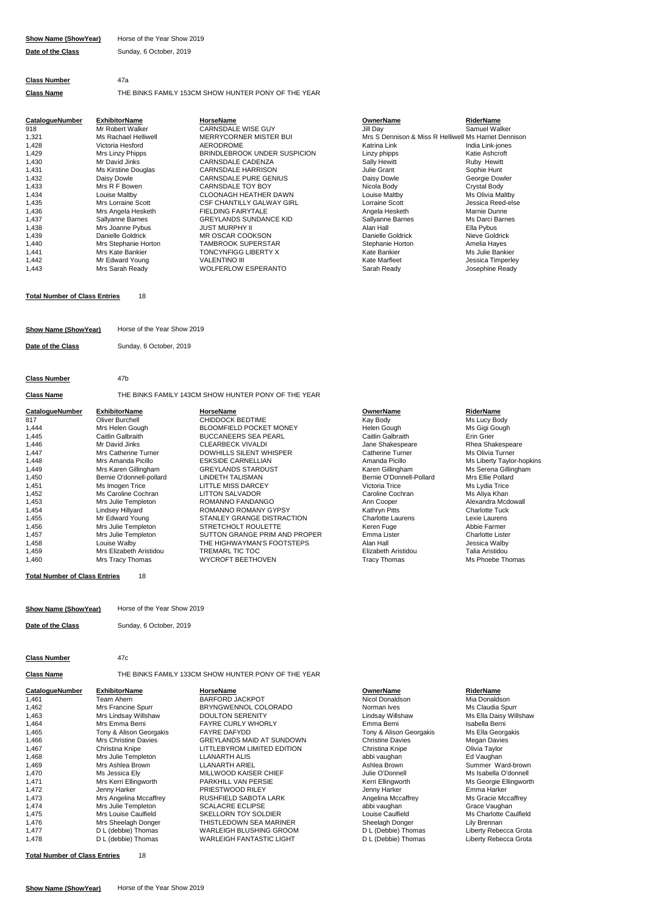# **Show Name (ShowYear)** Horse of the Year Show 2019 **Date of the Class** Sunday, 6 October, 2019

# **Class Number** 47a **Class Name** THE BINKS FAMILY 153CM SHOW HUNTER PONY OF THE YEAR

| CatalogueNumber | <b>ExhibitorName</b> | HorseName                        | <b>OwnerName</b>  | <b>RiderName</b>                                      |
|-----------------|----------------------|----------------------------------|-------------------|-------------------------------------------------------|
| 918             | Mr Robert Walker     | <b>CARNSDALE WISE GUY</b>        | Jill Dav          | Samuel Walker                                         |
| 1,321           | Ms Rachael Helliwell | MERRYCORNER MISTER BUI           |                   | Mrs S Dennison & Miss R Helliwell Ms Harriet Dennisor |
| 1,428           | Victoria Hesford     | AERODROME                        | Katrina Link      | India Link-jones                                      |
| 1,429           | Mrs Linzy Phipps     | BRINDLEBROOK UNDER SUSPICION     | Linzy phipps      | Katie Ashcroft                                        |
| 1,430           | Mr David Jinks       | <b>CARNSDALE CADENZA</b>         | Sally Hewitt      | Ruby Hewitt                                           |
| 1,431           | Ms Kirstine Douglas  | <b>CARNSDALE HARRISON</b>        | Julie Grant       | Sophie Hunt                                           |
| 1,432           | Daisy Dowle          | <b>CARNSDALE PURE GENIUS</b>     | Daisy Dowle       | Georgie Dowler                                        |
| 1,433           | Mrs R F Bowen        | CARNSDALE TOY BOY                | Nicola Body       | Crystal Body                                          |
| 1,434           | Louise Maltby        | <b>CLOONAGH HEATHER DAWN</b>     | Louise Maltby     | Ms Olivia Maltby                                      |
| 1,435           | Mrs Lorraine Scott   | <b>CSF CHANTILLY GALWAY GIRL</b> | Lorraine Scott    | Jessica Reed-else                                     |
| 1,436           | Mrs Angela Hesketh   | <b>FIELDING FAIRYTALE</b>        | Angela Hesketh    | Marnie Dunne                                          |
| 1,437           | Sallyanne Barnes     | <b>GREYLANDS SUNDANCE KID</b>    | Sallyanne Barnes  | Ms Darci Barnes                                       |
| 1,438           | Mrs Joanne Pybus     | <b>JUST MURPHY II</b>            | Alan Hall         | Ella Pybus                                            |
| 1,439           | Danielle Goldrick    | MR OSCAR COOKSON                 | Danielle Goldrick | Nieve Goldrick                                        |
| 1,440           | Mrs Stephanie Horton | <b>TAMBROOK SUPERSTAR</b>        | Stephanie Horton  | Amelia Hayes                                          |
| 1,441           | Mrs Kate Bankier     | TONCYNFIGG LIBERTY X             | Kate Bankier      | Ms Julie Bankier                                      |
| 1,442           | Mr Edward Young      | <b>VALENTINO III</b>             | Kate Marfleet     | Jessica Timperley                                     |
| 1,443           | Mrs Sarah Ready      | <b>WOLFERLOW ESPERANTO</b>       | Sarah Ready       | Josephine Ready                                       |

# DAWN Louise Maltby Victoria AERODROM Research AERODROM<br>
Vietnam Victoria Hespons AERODROM<br>
Victoria Hespons AERODROM<br>
Victoria Link-jones AERODROM<br>
Victoria Hespons AERODROM<br>
Victoria Hespons AERODROM<br>
Victoria Hespons AERODROM<br>
Victoria Hes Ms Olivia Maltby Alan Hall<br>Danielle Goldrick **II Ella Pybus**<br>Nieve Goldrick Ms Julie Bankier Kate Marfleet **Alexander Control** Jessica Timperley

### **Total Number of Class Entries** 18

| Show Name (ShowYear) | Horse of the Year Show 2019 |
|----------------------|-----------------------------|
| Date of the Class    | Sunday, 6 October, 2019     |

| Date of the Class |
|-------------------|
|-------------------|

### **Class Number** 47b

# **Class Name** THE BINKS FAMILY 143CM SHOW HUNTER PONY OF THE YEAR

| <b>CatalogueNumber</b> | <b>ExhibitorName</b>     | HorseName                      | <b>OwnerName</b>         | <b>RiderName</b>          |
|------------------------|--------------------------|--------------------------------|--------------------------|---------------------------|
| 817                    | Oliver Burchell          | CHIDDOCK BEDTIME               | Kay Body                 | Ms Lucy Body              |
| 1,444                  | Mrs Helen Gough          | <b>BLOOMFIELD POCKET MONEY</b> | Helen Gough              | Ms Gigi Gough             |
| 1,445                  | Caitlin Galbraith        | <b>BUCCANEERS SEA PEARL</b>    | Caitlin Galbraith        | Erin Grier                |
| 1,446                  | Mr David Jinks           | <b>CLEARBECK VIVALDI</b>       | Jane Shakespeare         | Rhea Shakespeare          |
| 1,447                  | Mrs Catherine Turner     | <b>DOWHILLS SILENT WHISPER</b> | <b>Catherine Turner</b>  | Ms Olivia Turner          |
| 1,448                  | Mrs Amanda Picillo       | <b>ESKSIDE CARNELLIAN</b>      | Amanda Picillo           | Ms Liberty Taylor-hopkins |
| 1,449                  | Mrs Karen Gillingham     | <b>GREYLANDS STARDUST</b>      | Karen Gillingham         | Ms Serena Gillingham      |
| 1,450                  | Bernie O'donnell-pollard | LINDETH TALISMAN               | Bernie O'Donnell-Pollard | Mrs Ellie Pollard         |
| 1,451                  | Ms Imogen Trice          | LITTLE MISS DARCEY             | Victoria Trice           | Ms Lydia Trice            |
| 1,452                  | Ms Caroline Cochran      | <b>LITTON SALVADOR</b>         | Caroline Cochran         | Ms Aliya Khan             |
| 1,453                  | Mrs Julie Templeton      | ROMANNO FANDANGO               | Ann Cooper               | Alexandra Mcdowall        |
| 1,454                  | Lindsey Hillyard         | ROMANNO ROMANY GYPSY           | Kathrvn Pitts            | <b>Charlotte Tuck</b>     |
| 1,455                  | Mr Edward Young          | STANLEY GRANGE DISTRACTION     | <b>Charlotte Laurens</b> | Lexie Laurens             |
| 1,456                  | Mrs Julie Templeton      | STRETCHOLT ROULETTE            | Keren Fuge               | Abbie Farmer              |
| 1,457                  | Mrs Julie Templeton      | SUTTON GRANGE PRIM AND PROPER  | Emma Lister              | <b>Charlotte Lister</b>   |
| 1.458                  | Louise Walby             | THE HIGHWAYMAN'S FOOTSTEPS     | Alan Hall                | Jessica Walby             |
| 1.459                  | Mrs Elizabeth Aristidou  | TREMARL TIC TOC                | Elizabeth Aristidou      | Talia Aristidou           |
| 1,460                  | Mrs Tracy Thomas         | <b>WYCROFT BEETHOVEN</b>       | <b>Tracy Thomas</b>      | Ms Phoebe Thomas          |

**Total Number of Class Entries** 18

- **Show Name (ShowYear)** Horse of the Year Show 2019
- 

**Date of the Class** Sunday, 6 October, 2019

# **Class Number** 47c

**Class Name** THE BINKS FAMILY 133CM SHOW HUNTER PONY OF THE YEAR

| <b>CatalogueNumber</b> | <b>ExhibitorName</b>        | <b>HorseName</b>                 | OwnerName               | <b>RiderName</b>       |
|------------------------|-----------------------------|----------------------------------|-------------------------|------------------------|
| 1,461                  | Team Ahern                  | <b>BARFORD JACKPOT</b>           | Nicol Donaldson         | Mia Donaldson          |
| 1,462                  | Mrs Francine Spurr          | BRYNGWENNOL COLORADO             | Norman Ives             | Ms Claudia Spurr       |
| 1,463                  | Mrs Lindsav Willshaw        | <b>DOULTON SERENITY</b>          | Lindsav Willshaw        | Ms Ella Daisy Willshaw |
| 1,464                  | Mrs Emma Berni              | <b>FAYRE CURLY WHORLY</b>        | Emma Berni              | Isabella Berni         |
| 1,465                  | Tony & Alison Georgakis     | <b>FAYRE DAFYDD</b>              | Tony & Alison Georgakis | Ms Ella Georgakis      |
| 1,466                  | <b>Mrs Christine Davies</b> | <b>GREYLANDS MAID AT SUNDOWN</b> | <b>Christine Davies</b> | <b>Megan Davies</b>    |
| 1,467                  | Christina Knipe             | LITTLEBYROM LIMITED EDITION      | Christina Knipe         | Olivia Taylor          |
| 1,468                  | Mrs Julie Templeton         | <b>LLANARTH ALIS</b>             | abbi vaughan            | Ed Vaughan             |
| 1,469                  | Mrs Ashlea Brown            | <b>LLANARTH ARIEL</b>            | Ashlea Brown            | Summer Ward-brown      |
| 1,470                  | Ms Jessica Ely              | MILLWOOD KAISER CHIEF            | Julie O'Donnell         | Ms Isabella O'donnell  |
| 1,471                  | Mrs Kerri Ellingworth       | <b>PARKHILL VAN PERSIE</b>       | Kerri Ellingworth       | Ms Georgie Ellingworth |
| 1,472                  | Jenny Harker                | PRIESTWOOD RILEY                 | Jenny Harker            | Emma Harker            |
| 1,473                  | Mrs Angelina Mccaffrey      | RUSHFIELD SABOTA LARK            | Angelina Mccaffrey      | Ms Gracie Mccaffrey    |
| 1,474                  | Mrs Julie Templeton         | <b>SCALACRE ECLIPSE</b>          | abbi vaughan            | Grace Vaughan          |
| 1,475                  | Mrs Louise Caulfield        | SKELLORN TOY SOLDIER             | Louise Caulfield        | Ms Charlotte Caulfield |
| 1,476                  | Mrs Sheelagh Donger         | THISTLEDOWN SEA MARINER          | Sheelagh Donger         | Lily Brennan           |
| 1,477                  | D L (debbie) Thomas         | <b>WARLEIGH BLUSHING GROOM</b>   | D L (Debbie) Thomas     | Liberty Rebecca Grota  |
| 1,478                  | D L (debbie) Thomas         | <b>WARLEIGH FANTASTIC LIGHT</b>  | D L (Debbie) Thomas     | Liberty Rebecca Grota  |

**Total Number of Class Entries** 18

Summer Ward-brown Ms Ella Daisy Willshaw<br>Isabella Berni